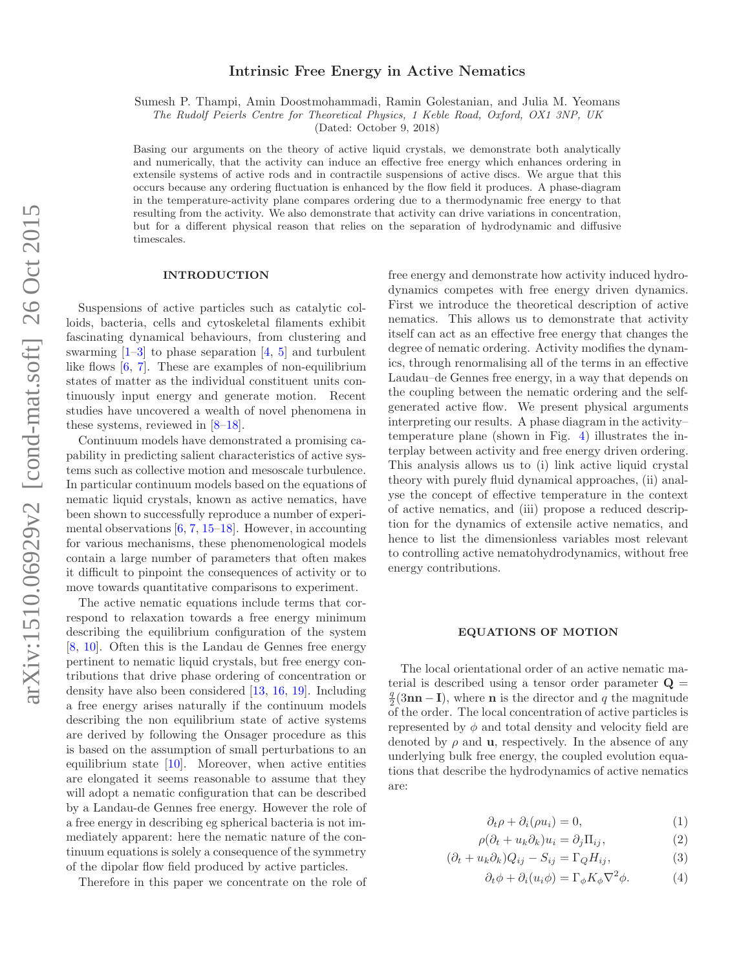# Intrinsic Free Energy in Active Nematics

Sumesh P. Thampi, Amin Doostmohammadi, Ramin Golestanian, and Julia M. Yeomans

The Rudolf Peierls Centre for Theoretical Physics, 1 Keble Road, Oxford, OX1 3NP, UK

(Dated: October 9, 2018)

Basing our arguments on the theory of active liquid crystals, we demonstrate both analytically and numerically, that the activity can induce an effective free energy which enhances ordering in extensile systems of active rods and in contractile suspensions of active discs. We argue that this occurs because any ordering fluctuation is enhanced by the flow field it produces. A phase-diagram in the temperature-activity plane compares ordering due to a thermodynamic free energy to that resulting from the activity. We also demonstrate that activity can drive variations in concentration, but for a different physical reason that relies on the separation of hydrodynamic and diffusive timescales.

## INTRODUCTION

Suspensions of active particles such as catalytic colloids, bacteria, cells and cytoskeletal filaments exhibit fascinating dynamical behaviours, from clustering and swarming  $[1-3]$  to phase separation  $[4, 5]$  and turbulent like flows [6, 7]. These are examples of non-equilibrium states of matter as the individual constituent units continuously input energy and generate motion. Recent studies have uncovered a wealth of novel phenomena in these systems, reviewed in [8–18].

Continuum models have demonstrated a promising capability in predicting salient characteristics of active systems such as collective motion and mesoscale turbulence. In particular continuum models based on the equations of nematic liquid crystals, known as active nematics, have been shown to successfully reproduce a number of experimental observations [6, 7, 15–18]. However, in accounting for various mechanisms, these phenomenological models contain a large number of parameters that often makes it difficult to pinpoint the consequences of activity or to move towards quantitative comparisons to experiment.

The active nematic equations include terms that correspond to relaxation towards a free energy minimum describing the equilibrium configuration of the system [8, 10]. Often this is the Landau de Gennes free energy pertinent to nematic liquid crystals, but free energy contributions that drive phase ordering of concentration or density have also been considered [13, 16, 19]. Including a free energy arises naturally if the continuum models describing the non equilibrium state of active systems are derived by following the Onsager procedure as this is based on the assumption of small perturbations to an equilibrium state [10]. Moreover, when active entities are elongated it seems reasonable to assume that they will adopt a nematic configuration that can be described by a Landau-de Gennes free energy. However the role of a free energy in describing eg spherical bacteria is not immediately apparent: here the nematic nature of the continuum equations is solely a consequence of the symmetry of the dipolar flow field produced by active particles.

Therefore in this paper we concentrate on the role of

free energy and demonstrate how activity induced hydrodynamics competes with free energy driven dynamics. First we introduce the theoretical description of active nematics. This allows us to demonstrate that activity itself can act as an effective free energy that changes the degree of nematic ordering. Activity modifies the dynamics, through renormalising all of the terms in an effective Laudau–de Gennes free energy, in a way that depends on the coupling between the nematic ordering and the selfgenerated active flow. We present physical arguments interpreting our results. A phase diagram in the activity– temperature plane (shown in Fig. 4) illustrates the interplay between activity and free energy driven ordering. This analysis allows us to (i) link active liquid crystal theory with purely fluid dynamical approaches, (ii) analyse the concept of effective temperature in the context of active nematics, and (iii) propose a reduced description for the dynamics of extensile active nematics, and hence to list the dimensionless variables most relevant to controlling active nematohydrodynamics, without free energy contributions.

## EQUATIONS OF MOTION

The local orientational order of an active nematic material is described using a tensor order parameter  $\mathbf{Q} =$  $\frac{q}{2}(3\mathbf{n}\mathbf{n}-\mathbf{I})$ , where **n** is the director and q the magnitude of the order. The local concentration of active particles is represented by  $\phi$  and total density and velocity field are denoted by  $\rho$  and **u**, respectively. In the absence of any underlying bulk free energy, the coupled evolution equations that describe the hydrodynamics of active nematics are:

$$
\partial_t \rho + \partial_i(\rho u_i) = 0,\tag{1}
$$

$$
\rho(\partial_t + u_k \partial_k) u_i = \partial_j \Pi_{ij}, \tag{2}
$$

$$
(\partial_t + u_k \partial_k) Q_{ij} - S_{ij} = \Gamma_Q H_{ij}, \tag{3}
$$

$$
\partial_t \phi + \partial_i (u_i \phi) = \Gamma_{\phi} K_{\phi} \nabla^2 \phi.
$$
 (4)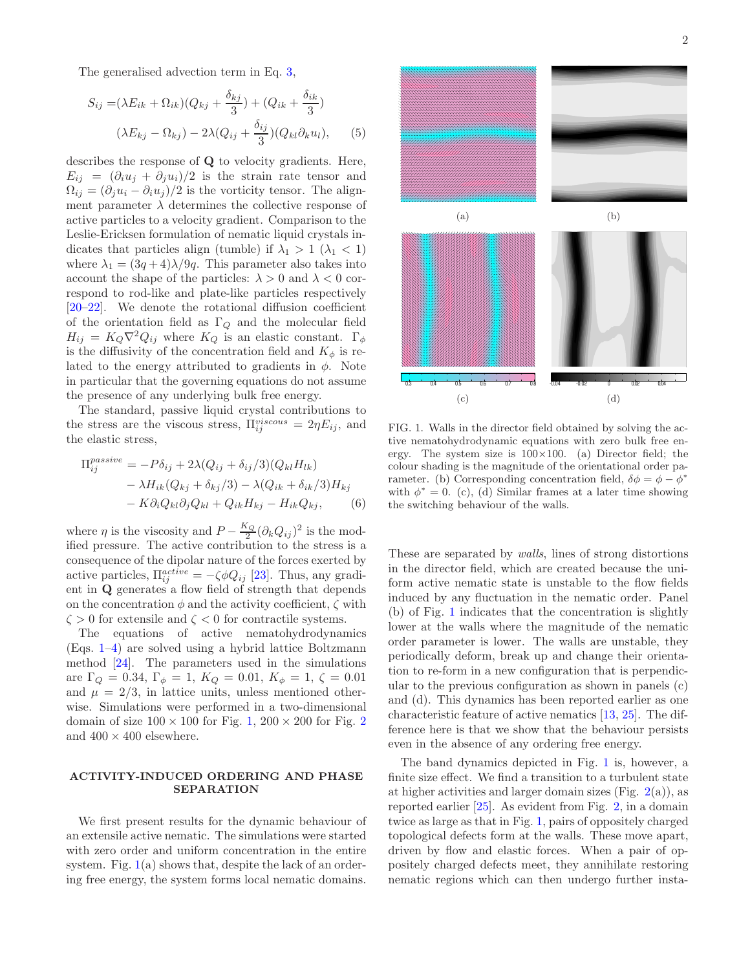The generalised advection term in Eq. 3,

$$
S_{ij} = (\lambda E_{ik} + \Omega_{ik})(Q_{kj} + \frac{\delta_{kj}}{3}) + (Q_{ik} + \frac{\delta_{ik}}{3})
$$

$$
(\lambda E_{kj} - \Omega_{kj}) - 2\lambda (Q_{ij} + \frac{\delta_{ij}}{3})(Q_{kl}\partial_k u_l), \qquad (5)
$$

describes the response of Q to velocity gradients. Here,  $E_{ii} = (\partial_i u_i + \partial_i u_i)/2$  is the strain rate tensor and  $\Omega_{ij} = (\partial_j u_i - \partial_i u_j)/2$  is the vorticity tensor. The alignment parameter  $\lambda$  determines the collective response of active particles to a velocity gradient. Comparison to the Leslie-Ericksen formulation of nematic liquid crystals indicates that particles align (tumble) if  $\lambda_1 > 1$  ( $\lambda_1 < 1$ ) where  $\lambda_1 = (3q+4)\lambda/9q$ . This parameter also takes into account the shape of the particles:  $\lambda > 0$  and  $\lambda < 0$  correspond to rod-like and plate-like particles respectively [20–22]. We denote the rotational diffusion coefficient of the orientation field as  $\Gamma_Q$  and the molecular field  $H_{ij} = K_Q \nabla^2 Q_{ij}$  where  $K_Q$  is an elastic constant.  $\Gamma_{\phi}$ is the diffusivity of the concentration field and  $K_{\phi}$  is related to the energy attributed to gradients in  $\phi$ . Note in particular that the governing equations do not assume the presence of any underlying bulk free energy.

The standard, passive liquid crystal contributions to the stress are the viscous stress,  $\Pi_{ij}^{viscous} = 2\eta E_{ij}$ , and the elastic stress,

$$
\Pi_{ij}^{passive} = -P\delta_{ij} + 2\lambda(Q_{ij} + \delta_{ij}/3)(Q_{kl}H_{lk})
$$
  
-  $\lambda H_{ik}(Q_{kj} + \delta_{kj}/3) - \lambda(Q_{ik} + \delta_{ik}/3)H_{kj}$   
-  $K\partial_i Q_{kl}\partial_j Q_{kl} + Q_{ik}H_{kj} - H_{ik}Q_{kj},$  (6)

where  $\eta$  is the viscosity and  $P - \frac{K_Q}{2} (\partial_k Q_{ij})^2$  is the modified pressure. The active contribution to the stress is a consequence of the dipolar nature of the forces exerted by active particles,  $\Pi_{ij}^{active} = -\zeta \phi Q_{ij}$  [23]. Thus, any gradient in Q generates a flow field of strength that depends on the concentration  $\phi$  and the activity coefficient,  $\zeta$  with  $\zeta > 0$  for extensile and  $\zeta < 0$  for contractile systems.

The equations of active nematohydrodynamics (Eqs. 1–4) are solved using a hybrid lattice Boltzmann method [24]. The parameters used in the simulations are  $\Gamma_Q = 0.34, \Gamma_{\phi} = 1, K_Q = 0.01, K_{\phi} = 1, \zeta = 0.01$ and  $\mu = 2/3$ , in lattice units, unless mentioned otherwise. Simulations were performed in a two-dimensional domain of size  $100 \times 100$  for Fig. 1,  $200 \times 200$  for Fig. 2 and  $400 \times 400$  elsewhere.

## ACTIVITY-INDUCED ORDERING AND PHASE SEPARATION

We first present results for the dynamic behaviour of an extensile active nematic. The simulations were started with zero order and uniform concentration in the entire system. Fig.  $1(a)$  shows that, despite the lack of an ordering free energy, the system forms local nematic domains.



FIG. 1. Walls in the director field obtained by solving the active nematohydrodynamic equations with zero bulk free energy. The system size is  $100\times100$ . (a) Director field; the colour shading is the magnitude of the orientational order parameter. (b) Corresponding concentration field,  $\delta \phi = \phi - \phi^*$ with  $\phi^* = 0$ . (c), (d) Similar frames at a later time showing the switching behaviour of the walls.

These are separated by walls, lines of strong distortions in the director field, which are created because the uniform active nematic state is unstable to the flow fields induced by any fluctuation in the nematic order. Panel (b) of Fig. 1 indicates that the concentration is slightly lower at the walls where the magnitude of the nematic order parameter is lower. The walls are unstable, they periodically deform, break up and change their orientation to re-form in a new configuration that is perpendicular to the previous configuration as shown in panels (c) and (d). This dynamics has been reported earlier as one characteristic feature of active nematics [13, 25]. The difference here is that we show that the behaviour persists even in the absence of any ordering free energy.

The band dynamics depicted in Fig. 1 is, however, a finite size effect. We find a transition to a turbulent state at higher activities and larger domain sizes (Fig.  $2(a)$ ), as reported earlier [25]. As evident from Fig. 2, in a domain twice as large as that in Fig. 1, pairs of oppositely charged topological defects form at the walls. These move apart, driven by flow and elastic forces. When a pair of oppositely charged defects meet, they annihilate restoring nematic regions which can then undergo further insta-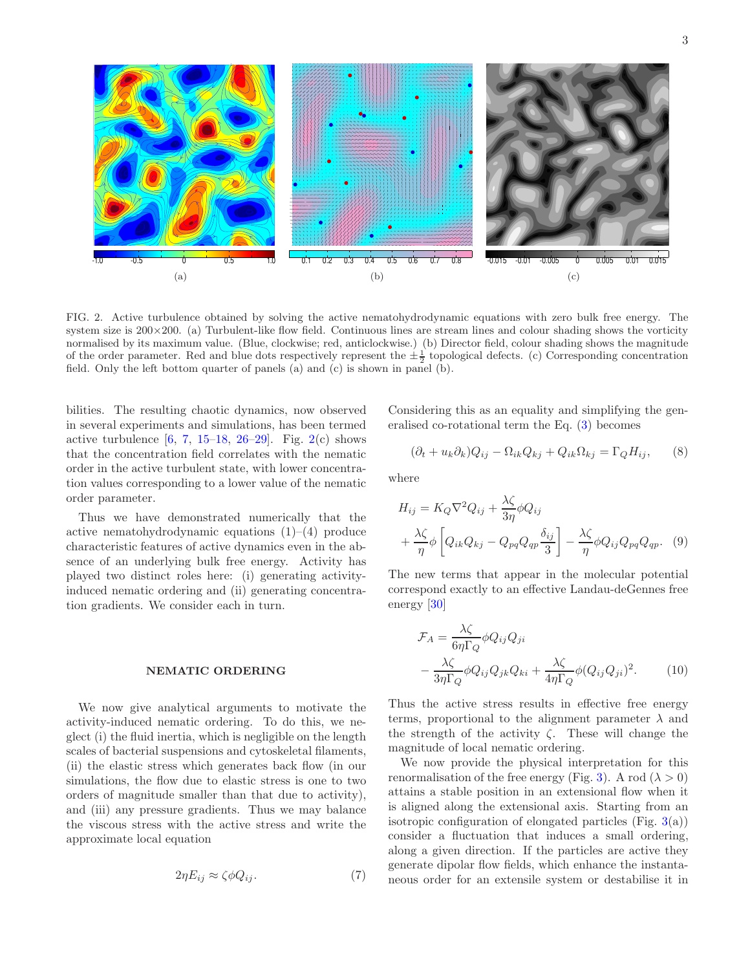

FIG. 2. Active turbulence obtained by solving the active nematohydrodynamic equations with zero bulk free energy. The system size is  $200\times200$ . (a) Turbulent-like flow field. Continuous lines are stream lines and colour shading shows the vorticity normalised by its maximum value. (Blue, clockwise; red, anticlockwise.) (b) Director field, colour shading shows the magnitude of the order parameter. Red and blue dots respectively represent the  $\pm \frac{1}{2}$  topological defects. (c) Corresponding concentration field. Only the left bottom quarter of panels (a) and (c) is shown in panel (b).

bilities. The resulting chaotic dynamics, now observed in several experiments and simulations, has been termed active turbulence  $[6, 7, 15-18, 26-29]$ . Fig. 2(c) shows that the concentration field correlates with the nematic order in the active turbulent state, with lower concentration values corresponding to a lower value of the nematic order parameter.

Thus we have demonstrated numerically that the active nematohydrodynamic equations  $(1)$ – $(4)$  produce characteristic features of active dynamics even in the absence of an underlying bulk free energy. Activity has played two distinct roles here: (i) generating activityinduced nematic ordering and (ii) generating concentration gradients. We consider each in turn.

#### NEMATIC ORDERING

We now give analytical arguments to motivate the activity-induced nematic ordering. To do this, we neglect (i) the fluid inertia, which is negligible on the length scales of bacterial suspensions and cytoskeletal filaments, (ii) the elastic stress which generates back flow (in our simulations, the flow due to elastic stress is one to two orders of magnitude smaller than that due to activity), and (iii) any pressure gradients. Thus we may balance the viscous stress with the active stress and write the approximate local equation

$$
2\eta E_{ij} \approx \zeta \phi Q_{ij}.\tag{7}
$$

Considering this as an equality and simplifying the generalised co-rotational term the Eq. (3) becomes

$$
(\partial_t + u_k \partial_k) Q_{ij} - \Omega_{ik} Q_{kj} + Q_{ik} \Omega_{kj} = \Gamma_Q H_{ij}, \qquad (8)
$$

where

$$
H_{ij} = K_Q \nabla^2 Q_{ij} + \frac{\lambda \zeta}{3\eta} \phi Q_{ij}
$$
  
+  $\frac{\lambda \zeta}{\eta} \phi \left[ Q_{ik} Q_{kj} - Q_{pq} Q_{qp} \frac{\delta_{ij}}{3} \right] - \frac{\lambda \zeta}{\eta} \phi Q_{ij} Q_{pq} Q_{qp}.$  (9)

The new terms that appear in the molecular potential correspond exactly to an effective Landau-deGennes free energy [30]

$$
\mathcal{F}_A = \frac{\lambda \zeta}{6\eta \Gamma_Q} \phi Q_{ij} Q_{ji}
$$
  
 
$$
- \frac{\lambda \zeta}{3\eta \Gamma_Q} \phi Q_{ij} Q_{jk} Q_{ki} + \frac{\lambda \zeta}{4\eta \Gamma_Q} \phi (Q_{ij} Q_{ji})^2.
$$
 (10)

Thus the active stress results in effective free energy terms, proportional to the alignment parameter  $\lambda$  and the strength of the activity  $\zeta$ . These will change the magnitude of local nematic ordering.

We now provide the physical interpretation for this renormalisation of the free energy (Fig. 3). A rod ( $\lambda > 0$ ) attains a stable position in an extensional flow when it is aligned along the extensional axis. Starting from an isotropic configuration of elongated particles (Fig.  $3(a)$ ) consider a fluctuation that induces a small ordering, along a given direction. If the particles are active they generate dipolar flow fields, which enhance the instantaneous order for an extensile system or destabilise it in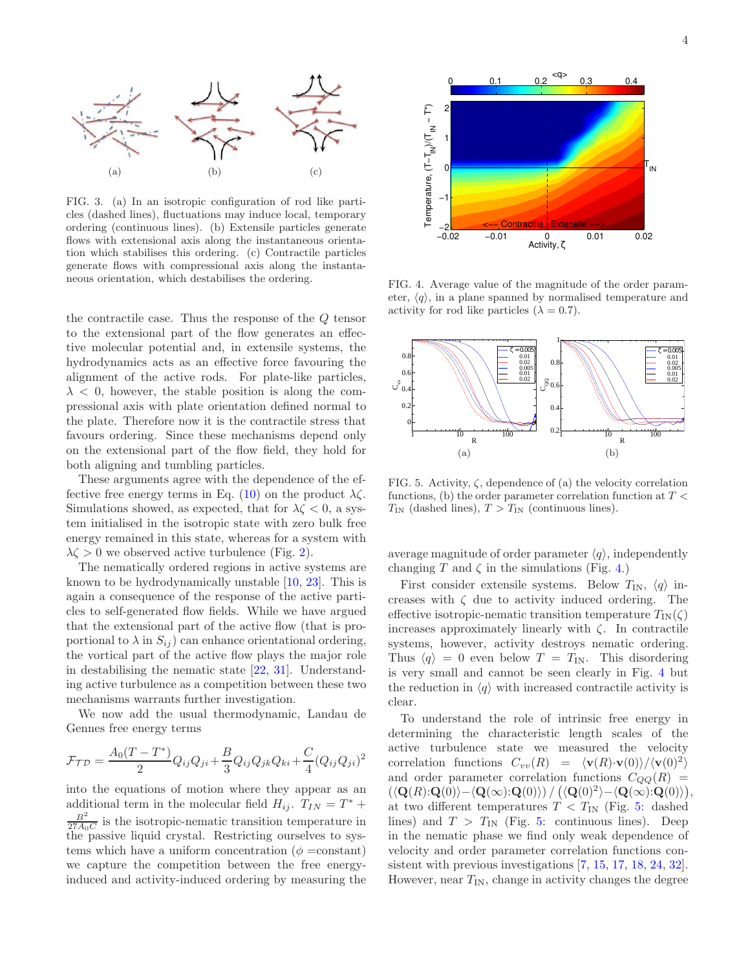

FIG. 3. (a) In an isotropic configuration of rod like particles (dashed lines), fluctuations may induce local, temporary ordering (continuous lines). (b) Extensile particles generate flows with extensional axis along the instantaneous orientation which stabilises this ordering. (c) Contractile particles generate flows with compressional axis along the instantaneous orientation, which destabilises the ordering.

the contractile case. Thus the response of the Q tensor to the extensional part of the flow generates an effective molecular potential and, in extensile systems, the hydrodynamics acts as an effective force favouring the alignment of the active rods. For plate-like particles,  $\lambda$  < 0, however, the stable position is along the compressional axis with plate orientation defined normal to the plate. Therefore now it is the contractile stress that favours ordering. Since these mechanisms depend only on the extensional part of the flow field, they hold for both aligning and tumbling particles.

These arguments agree with the dependence of the effective free energy terms in Eq. (10) on the product  $\lambda \zeta$ . Simulations showed, as expected, that for  $\lambda \zeta < 0$ , a system initialised in the isotropic state with zero bulk free energy remained in this state, whereas for a system with  $\lambda \zeta > 0$  we observed active turbulence (Fig. 2).

The nematically ordered regions in active systems are known to be hydrodynamically unstable [10, 23]. This is again a consequence of the response of the active particles to self-generated flow fields. While we have argued that the extensional part of the active flow (that is proportional to  $\lambda$  in  $S_{ij}$  can enhance orientational ordering, the vortical part of the active flow plays the major role in destabilising the nematic state [22, 31]. Understanding active turbulence as a competition between these two mechanisms warrants further investigation.

We now add the usual thermodynamic, Landau de Gennes free energy terms

$$
\mathcal{F}_{\mathcal{TD}} = \frac{A_0(T - T^*)}{2} Q_{ij} Q_{ji} + \frac{B}{3} Q_{ij} Q_{jk} Q_{ki} + \frac{C}{4} (Q_{ij} Q_{ji})^2
$$

into the equations of motion where they appear as an additional term in the molecular field  $H_{ij}$ .  $T_{IN} = T^*$  +  $\frac{B^2}{27A_0C}$  is the isotropic-nematic transition temperature in the passive liquid crystal. Restricting ourselves to systems which have a uniform concentration ( $\phi = constant$ ) we capture the competition between the free energyinduced and activity-induced ordering by measuring the



FIG. 4. Average value of the magnitude of the order parameter,  $\langle q \rangle$ , in a plane spanned by normalised temperature and activity for rod like particles  $(\lambda = 0.7)$ .



FIG. 5. Activity,  $\zeta$ , dependence of (a) the velocity correlation functions, (b) the order parameter correlation function at  $T<\,$  $T_{\text{IN}}$  (dashed lines),  $T > T_{\text{IN}}$  (continuous lines).

average magnitude of order parameter  $\langle q \rangle$ , independently changing T and  $\zeta$  in the simulations (Fig. 4.)

First consider extensile systems. Below  $T_{IN}$ ,  $\langle q \rangle$  increases with  $\zeta$  due to activity induced ordering. The effective isotropic-nematic transition temperature  $T_{IN}(\zeta)$ increases approximately linearly with  $\zeta$ . In contractile systems, however, activity destroys nematic ordering. Thus  $\langle q \rangle = 0$  even below  $T = T_{IN}$ . This disordering is very small and cannot be seen clearly in Fig. 4 but the reduction in  $\langle q \rangle$  with increased contractile activity is clear.

To understand the role of intrinsic free energy in determining the characteristic length scales of the active turbulence state we measured the velocity correlation functions  $C_{vv}(R) = \langle \mathbf{v}(R) \cdot \mathbf{v}(0) \rangle / \langle \mathbf{v}(0)^2 \rangle$ and order parameter correlation functions  $C_{QQ}(R)$  =  $\left(\langle{\bf Q}(R) {\bf :} {\bf Q}(0) \rangle - \langle{\bf Q}(\infty) {\bf :} {\bf Q}(0) \rangle\right) / \left(\langle{\bf Q}(0)^2\rangle - \langle{\bf Q}(\infty) {\bf :} {\bf Q}(0) \rangle\right),$ at two different temperatures  $T < T_{\text{IN}}$  (Fig. 5: dashed lines) and  $T > T_{\text{IN}}$  (Fig. 5: continuous lines). Deep in the nematic phase we find only weak dependence of velocity and order parameter correlation functions consistent with previous investigations [7, 15, 17, 18, 24, 32]. However, near  $T_{IN}$ , change in activity changes the degree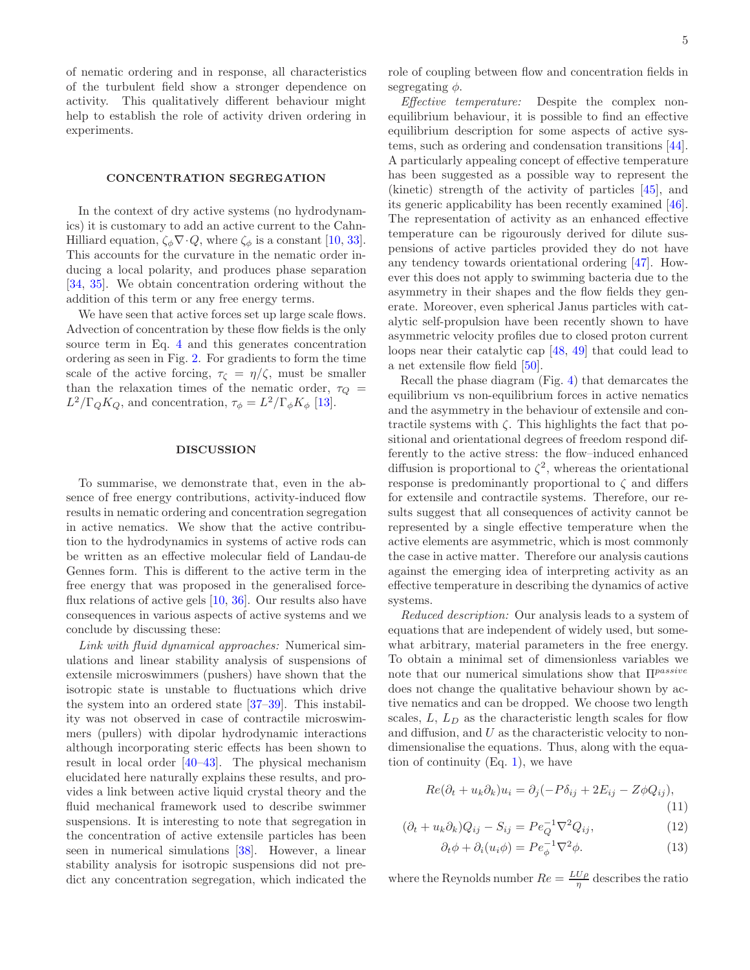of nematic ordering and in response, all characteristics of the turbulent field show a stronger dependence on activity. This qualitatively different behaviour might help to establish the role of activity driven ordering in experiments.

### CONCENTRATION SEGREGATION

In the context of dry active systems (no hydrodynamics) it is customary to add an active current to the Cahn-Hilliard equation,  $\zeta_{\phi} \nabla \cdot Q$ , where  $\zeta_{\phi}$  is a constant [10, 33]. This accounts for the curvature in the nematic order inducing a local polarity, and produces phase separation [34, 35]. We obtain concentration ordering without the addition of this term or any free energy terms.

We have seen that active forces set up large scale flows. Advection of concentration by these flow fields is the only source term in Eq. 4 and this generates concentration ordering as seen in Fig. 2. For gradients to form the time scale of the active forcing,  $\tau_{\zeta} = \eta/\zeta$ , must be smaller than the relaxation times of the nematic order,  $\tau_Q$  =  $L^2/\Gamma_Q K_Q$ , and concentration,  $\tau_{\phi} = L^2/\Gamma_{\phi} K_{\phi}$  [13].

#### DISCUSSION

To summarise, we demonstrate that, even in the absence of free energy contributions, activity-induced flow results in nematic ordering and concentration segregation in active nematics. We show that the active contribution to the hydrodynamics in systems of active rods can be written as an effective molecular field of Landau-de Gennes form. This is different to the active term in the free energy that was proposed in the generalised forceflux relations of active gels [10, 36]. Our results also have consequences in various aspects of active systems and we conclude by discussing these:

Link with fluid dynamical approaches: Numerical simulations and linear stability analysis of suspensions of extensile microswimmers (pushers) have shown that the isotropic state is unstable to fluctuations which drive the system into an ordered state [37–39]. This instability was not observed in case of contractile microswimmers (pullers) with dipolar hydrodynamic interactions although incorporating steric effects has been shown to result in local order [40–43]. The physical mechanism elucidated here naturally explains these results, and provides a link between active liquid crystal theory and the fluid mechanical framework used to describe swimmer suspensions. It is interesting to note that segregation in the concentration of active extensile particles has been seen in numerical simulations [38]. However, a linear stability analysis for isotropic suspensions did not predict any concentration segregation, which indicated the

Effective temperature: Despite the complex nonequilibrium behaviour, it is possible to find an effective equilibrium description for some aspects of active systems, such as ordering and condensation transitions [44]. A particularly appealing concept of effective temperature has been suggested as a possible way to represent the (kinetic) strength of the activity of particles [45], and its generic applicability has been recently examined [46]. The representation of activity as an enhanced effective temperature can be rigourously derived for dilute suspensions of active particles provided they do not have any tendency towards orientational ordering [47]. However this does not apply to swimming bacteria due to the asymmetry in their shapes and the flow fields they generate. Moreover, even spherical Janus particles with catalytic self-propulsion have been recently shown to have asymmetric velocity profiles due to closed proton current loops near their catalytic cap [48, 49] that could lead to a net extensile flow field [50].

Recall the phase diagram (Fig. 4) that demarcates the equilibrium vs non-equilibrium forces in active nematics and the asymmetry in the behaviour of extensile and contractile systems with  $\zeta$ . This highlights the fact that positional and orientational degrees of freedom respond differently to the active stress: the flow–induced enhanced diffusion is proportional to  $\zeta^2$ , whereas the orientational response is predominantly proportional to  $\zeta$  and differs for extensile and contractile systems. Therefore, our results suggest that all consequences of activity cannot be represented by a single effective temperature when the active elements are asymmetric, which is most commonly the case in active matter. Therefore our analysis cautions against the emerging idea of interpreting activity as an effective temperature in describing the dynamics of active systems.

Reduced description: Our analysis leads to a system of equations that are independent of widely used, but somewhat arbitrary, material parameters in the free energy. To obtain a minimal set of dimensionless variables we note that our numerical simulations show that  $\Pi^{passive}$ does not change the qualitative behaviour shown by active nematics and can be dropped. We choose two length scales,  $L, L<sub>D</sub>$  as the characteristic length scales for flow and diffusion, and  $U$  as the characteristic velocity to nondimensionalise the equations. Thus, along with the equation of continuity  $(Eq. 1)$ , we have

$$
Re(\partial_t + u_k \partial_k)u_i = \partial_j(-P\delta_{ij} + 2E_{ij} - Z\phi Q_{ij}),
$$
\n(11)

$$
(\partial_t + u_k \partial_k) Q_{ij} - S_{ij} = P e_Q^{-1} \nabla^2 Q_{ij}, \qquad (12)
$$

$$
\partial_t \phi + \partial_i (u_i \phi) = P e_{\phi}^{-1} \nabla^2 \phi.
$$
 (13)

where the Reynolds number  $Re = \frac{L U \rho}{\eta}$  describes the ratio